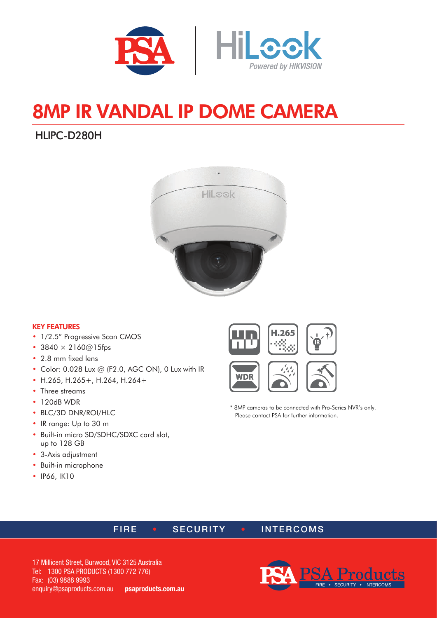

# 8MP IR VANDAL IP DOME CAMERA

## HLIPC-D280H



#### KEY FEATURES

- 1/2.5" Progressive Scan CMOS
- 3840  $\times$  2160@15fps
- 2.8 mm fixed lens
- Color: 0.028 Lux @ (F2.0, AGC ON), 0 Lux with IR
- H.265, H.265+, H.264, H.264+
- Three streams
- 120dB WDR
- BLC/3D DNR/ROI/HLC
- IR range: Up to 30 m
- Built-in micro SD/SDHC/SDXC card slot, up to 128 GB
- 3-Axis adjustment
- Built-in microphone
- IP66, IK10





\* 8MP cameras to be connected with Pro-Series NVR's only. Please contact PSA for further information.

#### FIRE • SECURITY • INTERCOMS

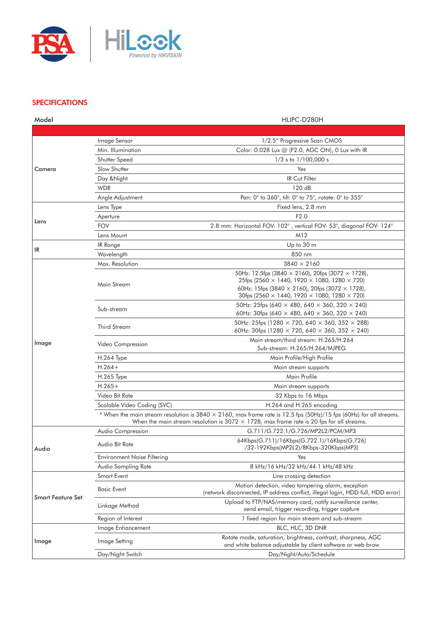

#### **SPECIFICATIONS**

| Model                    |                             | HLIPC-D280H                                                                                                                                                                                                                    |
|--------------------------|-----------------------------|--------------------------------------------------------------------------------------------------------------------------------------------------------------------------------------------------------------------------------|
|                          |                             |                                                                                                                                                                                                                                |
| Camera                   | Image Sensor                | 1/2.5" Progressive Scan CMOS                                                                                                                                                                                                   |
|                          | Min. Illumination           | Color: 0.028 Lux @ (F2.0, AGC ON), 0 Lux with IR                                                                                                                                                                               |
|                          | Shutter Speed               | $1/3$ s to $1/100,000$ s                                                                                                                                                                                                       |
|                          | Slow Shutter                | Yes                                                                                                                                                                                                                            |
|                          | Day & Night                 | <b>IR Cut Filter</b>                                                                                                                                                                                                           |
|                          | <b>WDR</b>                  | 120 dB                                                                                                                                                                                                                         |
|                          | Angle Adjustment            | Pan: 0° to 360°, tilt: 0° to 75°, rotate: 0° to 355°                                                                                                                                                                           |
| Lens                     | Lens Type                   | Fixed lens, 2.8 mm                                                                                                                                                                                                             |
|                          | Aperture                    | F2.0                                                                                                                                                                                                                           |
|                          | <b>FOV</b>                  | 2.8 mm: Horizontal FOV: 102°, vertical FOV: 53°, diagonal FOV: 124°                                                                                                                                                            |
|                          | Lens Mount                  | M12                                                                                                                                                                                                                            |
|                          | IR Range                    | Up to 30 m                                                                                                                                                                                                                     |
| IR                       | Wavelength                  | 850 nm                                                                                                                                                                                                                         |
|                          | Max. Resolution             | $3840 \times 2160$                                                                                                                                                                                                             |
| Image                    | Main Stream                 | 50Hz: 12.5fps (3840 $\times$ 2160), 20fps (3072 $\times$ 1728),<br>25fps (2560 $\times$ 1440, 1920 $\times$ 1080, 1280 $\times$ 720)                                                                                           |
|                          |                             | 60Hz: 15fps (3840 $\times$ 2160), 20fps (3072 $\times$ 1728),<br>30fps (2560 $\times$ 1440, 1920 $\times$ 1080, 1280 $\times$ 720)                                                                                             |
|                          | Sub-stream                  | 50Hz: 25fps (640 $\times$ 480, 640 $\times$ 360, 320 $\times$ 240)<br>60Hz: 30fps (640 $\times$ 480, 640 $\times$ 360, 320 $\times$ 240)                                                                                       |
|                          | Third Stream                | 50Hz: 25fps (1280 $\times$ 720, 640 $\times$ 360, 352 $\times$ 288)<br>60Hz: 30fps (1280 $\times$ 720, 640 $\times$ 360, 352 $\times$ 240)                                                                                     |
|                          | Video Compression           | Main stream/third stream: H.265/H.264<br>Sub-stream: H.265/H.264/MJPEG                                                                                                                                                         |
|                          | <b>H.264 Type</b>           | Main Profile/High Profile                                                                                                                                                                                                      |
|                          | $H.264+$                    | Main stream supports                                                                                                                                                                                                           |
|                          | H.265 Type                  | Main Profile                                                                                                                                                                                                                   |
|                          | $H.265+$                    | Main stream supports                                                                                                                                                                                                           |
|                          | Video Bit Rate              | 32 Kbps to 16 Mbps                                                                                                                                                                                                             |
|                          | Scalable Video Coding (SVC) | H.264 and H.265 encoding                                                                                                                                                                                                       |
|                          |                             | * When the main stream resolution is 3840 $\times$ 2160, max frame rate is 12.5 fps (50Hz)/15 fps (60Hz) for all streams.<br>When the main stream resolution is $3072 \times 1728$ , max frame rate is 20 fps for all streams. |
| Audio                    | Audio Compression           | G.711/G.722.1/G.726/MP2L2/PCM/MP3                                                                                                                                                                                              |
|                          | Audio Bit Rate              | 64Kbps(G.711)/16Kbps(G.722.1)/16Kbps(G.726)<br>/32-192Kbps(MP2L2)/8Kbps-320Kbps(MP3)                                                                                                                                           |
|                          | Environment Noise Filtering | Yes                                                                                                                                                                                                                            |
|                          | Audio Sampling Rate         | 8 kHz/16 kHz/32 kHz/44.1 kHz/48 kHz                                                                                                                                                                                            |
| <b>Smart Feature Set</b> | Smart Event                 | Line crossing detection                                                                                                                                                                                                        |
|                          | <b>Basic Event</b>          | Motion detection, video tampering alarm, exception<br>(network disconnected, IP address conflict, illegal login, HDD full, HDD error)                                                                                          |
|                          | Linkage Method              | Upload to FTP/NAS/memory card, notify surveillance center,<br>send email, trigger recording, trigger capture                                                                                                                   |
|                          | Region of Interest          | 1 fixed region for main stream and sub-stream                                                                                                                                                                                  |
| Image                    | Image Enhancement           | BLC, HLC, 3D DNR                                                                                                                                                                                                               |
|                          | Image Setting               | Rotate mode, saturation, brightness, contrast, sharpness, AGC<br>and white balance adjustable by client software or web brow                                                                                                   |
|                          | Day/Night Switch            | Day/Night/Auto/Schedule                                                                                                                                                                                                        |
|                          |                             |                                                                                                                                                                                                                                |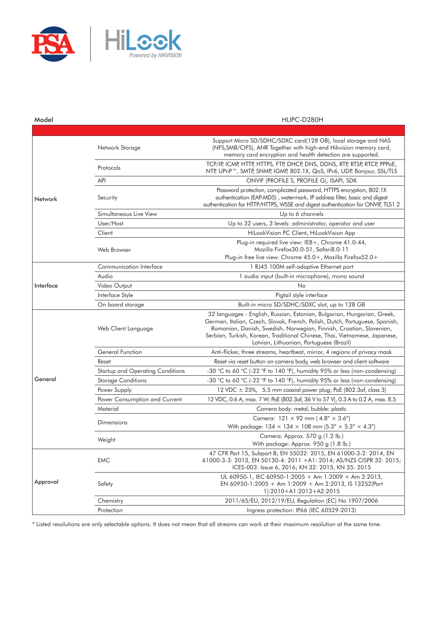

| Model     |                                     | HLIPC-D280H                                                                                                                                                                                                                                                                                                                                             |
|-----------|-------------------------------------|---------------------------------------------------------------------------------------------------------------------------------------------------------------------------------------------------------------------------------------------------------------------------------------------------------------------------------------------------------|
|           |                                     |                                                                                                                                                                                                                                                                                                                                                         |
| Network   | Network Storage                     | Support Micro SD/SDHC/SDXC card(128 GB), local storage and NAS<br>(NFS, SMB/CIFS), ANR Together with high-end Hikvision memory card,<br>memory card encryption and health detection are supported.                                                                                                                                                      |
|           | Protocols                           | TCP/IP, ICMP, HTTP, HTTPS, FTP, DHCP, DNS, DDNS, RTP, RTSP, RTCP, PPPOE,<br>NTP, UPnP™, SMTP, SNMP, IGMP, 802.1X, QoS, IPv6, UDP, Bonjour, SSL/TLS                                                                                                                                                                                                      |
|           | API                                 | ONVIF (PROFILE S, PROFILE G), ISAPI, SDK                                                                                                                                                                                                                                                                                                                |
|           | Security                            | Password protection, complicated password, HTTPS encryption, 802.1X<br>authentication (EAP-MD5), watermark, IP address filter, basic and digest<br>authentication for HTTP/HTTPS, WSSE and digest authentication for ONVIF, TLS1.2                                                                                                                      |
|           | Simultaneous Live View              | Up to 6 channels                                                                                                                                                                                                                                                                                                                                        |
|           | User/Host                           | Up to 32 users, 3 levels: administrator, operator and user                                                                                                                                                                                                                                                                                              |
|           | Client                              | HiLookVision PC Client, HiLookVision App                                                                                                                                                                                                                                                                                                                |
|           | Web Browser                         | Plug-in required live view: IE8+, Chrome 41.0-44,<br>Mozilla Firefox30.0-51, Safari8.0-11                                                                                                                                                                                                                                                               |
|           |                                     | Plug-in free live view: Chrome 45.0+, Mozilla Firefox52.0+                                                                                                                                                                                                                                                                                              |
| Interface | Communication Interface             | 1 RJ45 100M self-adaptive Ethernet port                                                                                                                                                                                                                                                                                                                 |
|           | Audio                               | 1 audio input (built-in microphone), mono sound                                                                                                                                                                                                                                                                                                         |
|           | Video Output                        | No                                                                                                                                                                                                                                                                                                                                                      |
|           | Interface Style<br>On board storage | Pigtail style interface<br>Built-in micro SD/SDHC/SDXC slot, up to 128 GB                                                                                                                                                                                                                                                                               |
|           | Web Client Language                 | 32 languages - English, Russian, Estonian, Bulgarian, Hungarian, Greek,<br>German, Italian, Czech, Slovak, French, Polish, Dutch, Portuguese, Spanish,<br>Romanian, Danish, Swedish, Norwegian, Finnish, Croatian, Slovenian,<br>Serbian, Turkish, Korean, Traditional Chinese, Thai, Vietnamese, Japanese,<br>Latvian, Lithuanian, Portuguese (Brazil) |
|           | General Function                    | Anti-flicker, three streams, heartbeat, mirror, 4 regions of privacy mask                                                                                                                                                                                                                                                                               |
|           | Reset                               | Reset via reset button on camera body, web browser and client software                                                                                                                                                                                                                                                                                  |
| General   | Startup and Operating Conditions    | -30 °C to 60 °C (-22 °F to 140 °F), humidity 95% or less (non-condensing)                                                                                                                                                                                                                                                                               |
|           | <b>Storage Conditions</b>           | -30 °C to 60 °C (-22 °F to 140 °F), humidity 95% or less (non-condensing)                                                                                                                                                                                                                                                                               |
|           | Power Supply                        | 12 VDC $\pm$ 25%, 5.5 mm coaxial power plug; PoE (802.3af, class 3)                                                                                                                                                                                                                                                                                     |
|           | Power Consumption and Current       | 12 VDC, 0.6 A, max. 7 W; PoE (802.3af, 36 V to 57 V), 0.3 A to 0.2 A, max. 8.5                                                                                                                                                                                                                                                                          |
|           | Material                            | Camera body: metal, bubble: plastic                                                                                                                                                                                                                                                                                                                     |
|           | Dimensions                          | Camera: $121 \times 92$ mm (4.8" $\times$ 3.6")<br>With package: $134 \times 134 \times 108$ mm $(5.3'' \times 5.3'' \times 4.3'')$                                                                                                                                                                                                                     |
|           | Weight                              | Camera: Approx. 570 g (1.2 lb.)<br>With package: Approx. 950 g (1.8 lb.)                                                                                                                                                                                                                                                                                |
| Approval  | <b>EMC</b>                          | 47 CFR Part 15, Subpart B; EN 55032: 2015, EN 61000-3-2: 2014, EN<br>61000-3-3: 2013, EN 50130-4: 2011 +A1: 2014; AS/NZS CISPR 32: 2015;<br>ICES-003: Issue 6, 2016; KN 32: 2015, KN 35: 2015                                                                                                                                                           |
|           | Safety                              | UL 60950-1, IEC 60950-1:2005 + Am 1:2009 + Am 2:2013,<br>EN 60950-1:2005 + Am 1:2009 + Am 2:2013, IS 13252(Part<br>1):2010+A1:2013+A2:2015                                                                                                                                                                                                              |
|           | Chemistry                           | 2011/65/EU, 2012/19/EU, Regulation (EC) No 1907/2006                                                                                                                                                                                                                                                                                                    |
|           | Protection                          | Ingress protection: IP66 (IEC 60529-2013)                                                                                                                                                                                                                                                                                                               |

\* Listed resolutions are only selectable options. It does not mean that all streams can work at their maximum resolution at the same time.